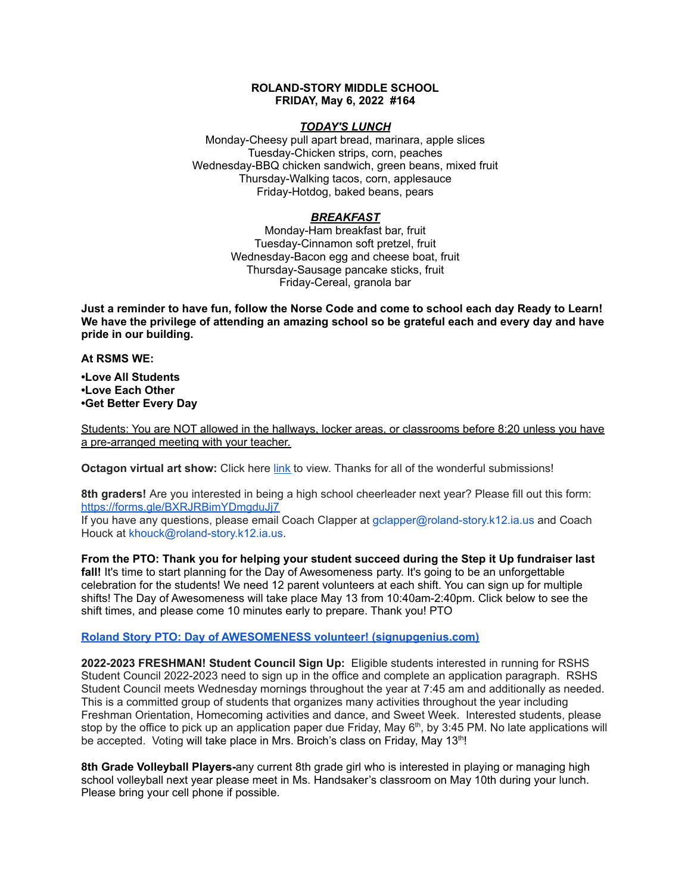### **ROLAND-STORY MIDDLE SCHOOL FRIDAY, May 6, 2022 #164**

# *TODAY'S LUNCH*

Monday-Cheesy pull apart bread, marinara, apple slices Tuesday-Chicken strips, corn, peaches Wednesday-BBQ chicken sandwich, green beans, mixed fruit Thursday-Walking tacos, corn, applesauce Friday-Hotdog, baked beans, pears

# *BREAKFAST*

Monday-Ham breakfast bar, fruit Tuesday-Cinnamon soft pretzel, fruit Wednesday-Bacon egg and cheese boat, fruit Thursday-Sausage pancake sticks, fruit Friday-Cereal, granola bar

Just a reminder to have fun, follow the Norse Code and come to school each day Ready to Learn! **We have the privilege of attending an amazing school so be grateful each and every day and have pride in our building.**

#### **At RSMS WE:**

**•Love All Students •Love Each Other •Get Better Every Day**

Students: You are NOT allowed in the hallways, locker areas, or classrooms before 8:20 unless you have a pre-arranged meeting with your teacher.

**Octagon virtual art show:** Click here [link](https://www.youtube.com/watch?v=l_N0KeDsDNI) to view. Thanks for all of the wonderful submissions!

**8th graders!** Are you interested in being a high school cheerleader next year? Please fill out this form: <https://forms.gle/BXRJRBimYDmgduJj7>

If you have any questions, please email Coach Clapper at gclapper@roland-story.k12.ia.us and Coach Houck at khouck@roland-story.k12.ia.us.

**From the PTO: Thank you for helping your student succeed during the Step it Up fundraiser last fall!** It's time to start planning for the Day of Awesomeness party. It's going to be an unforgettable celebration for the students! We need 12 parent volunteers at each shift. You can sign up for multiple shifts! The Day of Awesomeness will take place May 13 from 10:40am-2:40pm. Click below to see the shift times, and please come 10 minutes early to prepare. Thank you! PTO

# **Roland Story PTO: Day of AWESOMENESS volunteer! [\(signupgenius.com\)](https://www.signupgenius.com/go/5080f48afab2ba5f94-dayofawesomeness)**

**2022-2023 FRESHMAN! Student Council Sign Up:** Eligible students interested in running for RSHS Student Council 2022-2023 need to sign up in the office and complete an application paragraph. RSHS Student Council meets Wednesday mornings throughout the year at 7:45 am and additionally as needed. This is a committed group of students that organizes many activities throughout the year including Freshman Orientation, Homecoming activities and dance, and Sweet Week. Interested students, please stop by the office to pick up an application paper due Friday, May  $6<sup>th</sup>$ , by 3:45 PM. No late applications will be accepted. Voting will take place in Mrs. Broich's class on Friday, May 13<sup>th</sup>!

**8th Grade Volleyball Players-**any current 8th grade girl who is interested in playing or managing high school volleyball next year please meet in Ms. Handsaker's classroom on May 10th during your lunch. Please bring your cell phone if possible.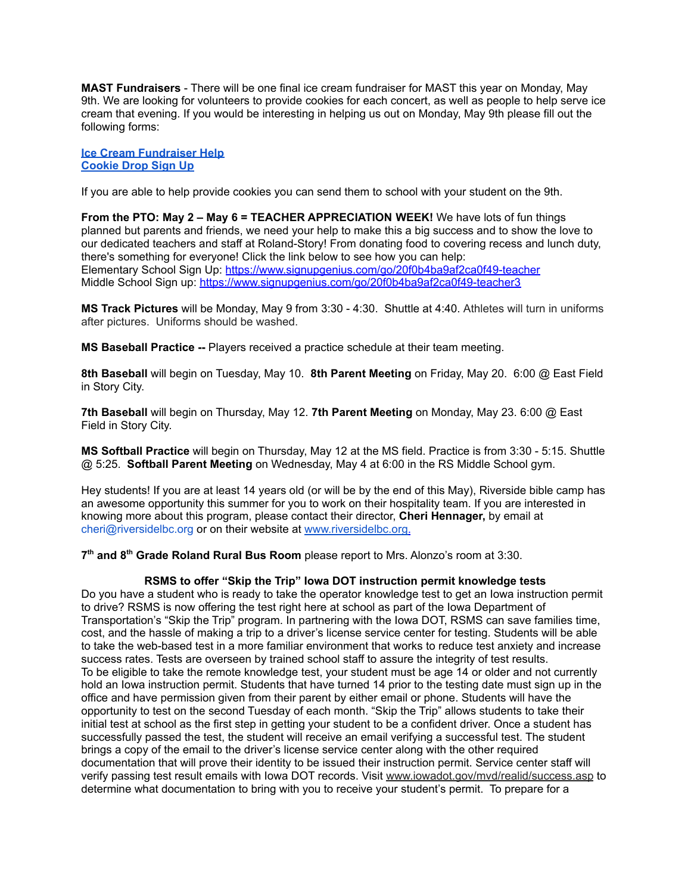**MAST Fundraisers** - There will be one final ice cream fundraiser for MAST this year on Monday, May 9th. We are looking for volunteers to provide cookies for each concert, as well as people to help serve ice cream that evening. If you would be interesting in helping us out on Monday, May 9th please fill out the following forms:

**Ice Cream [Fundraiser](https://www.signupgenius.com/go/4090c45acac2ba31-rsmast4) Help [Cookie](https://www.signupgenius.com/go/4090c45acac2ba31-5th6th) Drop Sign Up**

If you are able to help provide cookies you can send them to school with your student on the 9th.

**From the PTO: May 2 – May 6 = TEACHER APPRECIATION WEEK!** We have lots of fun things planned but parents and friends, we need your help to make this a big success and to show the love to our dedicated teachers and staff at Roland-Story! From donating food to covering recess and lunch duty, there's something for everyone! Click the link below to see how you can help: Elementary School Sign Up: <https://www.signupgenius.com/go/20f0b4ba9af2ca0f49-teacher> Middle School Sign up: <https://www.signupgenius.com/go/20f0b4ba9af2ca0f49-teacher3>

**MS Track Pictures** will be Monday, May 9 from 3:30 - 4:30. Shuttle at 4:40. Athletes will turn in uniforms after pictures. Uniforms should be washed.

**MS Baseball Practice --** Players received a practice schedule at their team meeting.

**8th Baseball** will begin on Tuesday, May 10. **8th Parent Meeting** on Friday, May 20. 6:00 @ East Field in Story City.

**7th Baseball** will begin on Thursday, May 12. **7th Parent Meeting** on Monday, May 23. 6:00 @ East Field in Story City.

**MS Softball Practice** will begin on Thursday, May 12 at the MS field. Practice is from 3:30 - 5:15. Shuttle @ 5:25. **Softball Parent Meeting** on Wednesday, May 4 at 6:00 in the RS Middle School gym.

Hey students! If you are at least 14 years old (or will be by the end of this May), Riverside bible camp has an awesome opportunity this summer for you to work on their hospitality team. If you are interested in knowing more about this program, please contact their director, **Cheri Hennager,** by email at cheri@riversidelbc.org or on their website at [www.riversidelbc.org.](http://www.riversidelbc.org/)

**7 th and 8 th Grade Roland Rural Bus Room** please report to Mrs. Alonzo's room at 3:30.

#### **RSMS to offer "Skip the Trip" Iowa DOT instruction permit knowledge tests**

Do you have a student who is ready to take the operator knowledge test to get an Iowa instruction permit to drive? RSMS is now offering the test right here at school as part of the Iowa Department of Transportation's "Skip the Trip" program. In partnering with the Iowa DOT, RSMS can save families time, cost, and the hassle of making a trip to a driver's license service center for testing. Students will be able to take the web-based test in a more familiar environment that works to reduce test anxiety and increase success rates. Tests are overseen by trained school staff to assure the integrity of test results. To be eligible to take the remote knowledge test, your student must be age 14 or older and not currently hold an Iowa instruction permit. Students that have turned 14 prior to the testing date must sign up in the office and have permission given from their parent by either email or phone. Students will have the opportunity to test on the second Tuesday of each month. "Skip the Trip" allows students to take their initial test at school as the first step in getting your student to be a confident driver. Once a student has successfully passed the test, the student will receive an email verifying a successful test. The student brings a copy of the email to the driver's license service center along with the other required documentation that will prove their identity to be issued their instruction permit. Service center staff will verify passing test result emails with Iowa DOT records. Visit [www.iowadot.gov/mvd/realid/success.asp](http://www.iowadot.gov/mvd/realid/success.asp) to determine what documentation to bring with you to receive your student's permit. To prepare for a